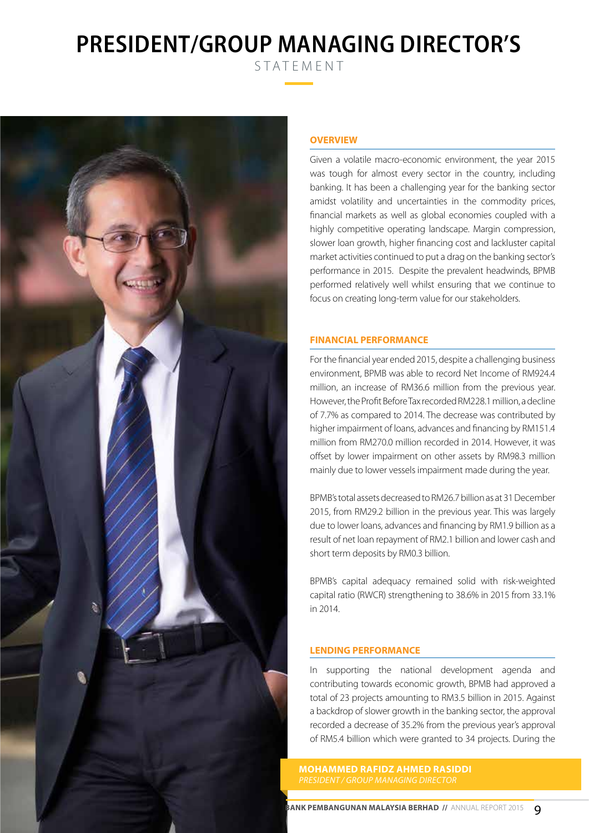# **PRESIDENT/GROUP MANAGING DIRECTOR'S**

STATEMENT



# **OVERVIEW**

Given a volatile macro-economic environment, the year 2015 was tough for almost every sector in the country, including banking. It has been a challenging year for the banking sector amidst volatility and uncertainties in the commodity prices, financial markets as well as global economies coupled with a highly competitive operating landscape. Margin compression, slower loan growth, higher financing cost and lackluster capital market activities continued to put a drag on the banking sector's performance in 2015. Despite the prevalent headwinds, BPMB performed relatively well whilst ensuring that we continue to focus on creating long-term value for our stakeholders.

## **FINANCIAL PERFORMANCE**

For the financial year ended 2015, despite a challenging business environment, BPMB was able to record Net Income of RM924.4 million, an increase of RM36.6 million from the previous year. However, the Profit Before Tax recorded RM228.1 million, a decline of 7.7% as compared to 2014. The decrease was contributed by higher impairment of loans, advances and financing by RM151.4 million from RM270.0 million recorded in 2014. However, it was offset by lower impairment on other assets by RM98.3 million mainly due to lower vessels impairment made during the year.

BPMB's total assets decreased to RM26.7 billion as at 31 December 2015, from RM29.2 billion in the previous year. This was largely due to lower loans, advances and financing by RM1.9 billion as a result of net loan repayment of RM2.1 billion and lower cash and short term deposits by RM0.3 billion.

BPMB's capital adequacy remained solid with risk-weighted capital ratio (RWCR) strengthening to 38.6% in 2015 from 33.1% in 2014.

# **LENDING PERFORMANCE**

In supporting the national development agenda and contributing towards economic growth, BPMB had approved a total of 23 projects amounting to RM3.5 billion in 2015. Against a backdrop of slower growth in the banking sector, the approval recorded a decrease of 35.2% from the previous year's approval of RM5.4 billion which were granted to 34 projects. During the

**MOHAMMED RAFIDZ AHMED RASIDDI** *President / Group Managing Director*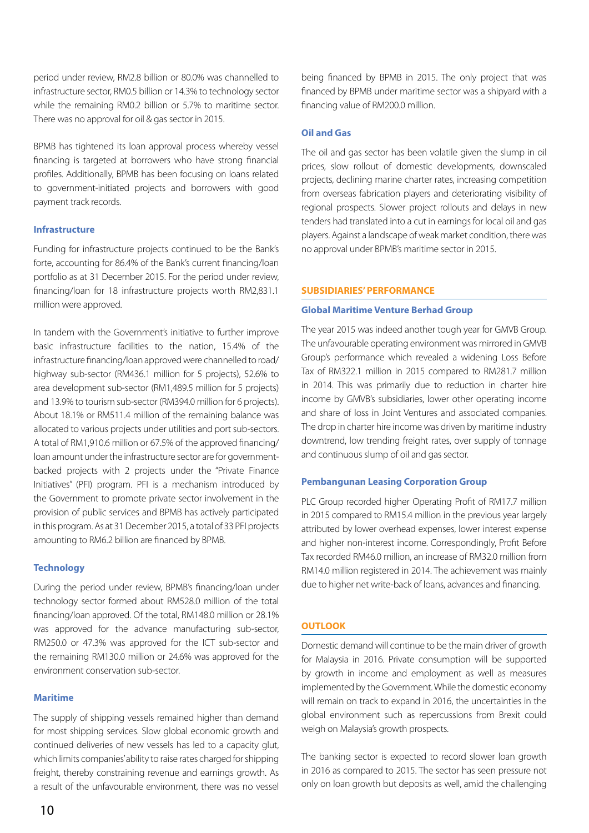period under review, RM2.8 billion or 80.0% was channelled to infrastructure sector, RM0.5 billion or 14.3% to technology sector while the remaining RM0.2 billion or 5.7% to maritime sector. There was no approval for oil & gas sector in 2015.

BPMB has tightened its loan approval process whereby vessel financing is targeted at borrowers who have strong financial profiles. Additionally, BPMB has been focusing on loans related to government-initiated projects and borrowers with good payment track records.

## **Infrastructure**

Funding for infrastructure projects continued to be the Bank's forte, accounting for 86.4% of the Bank's current financing/loan portfolio as at 31 December 2015. For the period under review, financing/loan for 18 infrastructure projects worth RM2,831.1 million were approved.

In tandem with the Government's initiative to further improve basic infrastructure facilities to the nation, 15.4% of the infrastructure financing/loan approved were channelled to road/ highway sub-sector (RM436.1 million for 5 projects), 52.6% to area development sub-sector (RM1,489.5 million for 5 projects) and 13.9% to tourism sub-sector (RM394.0 million for 6 projects). About 18.1% or RM511.4 million of the remaining balance was allocated to various projects under utilities and port sub-sectors. A total of RM1,910.6 million or 67.5% of the approved financing/ loan amount under the infrastructure sector are for governmentbacked projects with 2 projects under the "Private Finance Initiatives" (PFI) program. PFI is a mechanism introduced by the Government to promote private sector involvement in the provision of public services and BPMB has actively participated in this program. As at 31 December 2015, a total of 33 PFI projects amounting to RM6.2 billion are financed by BPMB.

## **Technology**

During the period under review, BPMB's financing/loan under technology sector formed about RM528.0 million of the total financing/loan approved. Of the total, RM148.0 million or 28.1% was approved for the advance manufacturing sub-sector, RM250.0 or 47.3% was approved for the ICT sub-sector and the remaining RM130.0 million or 24.6% was approved for the environment conservation sub-sector.

# **Maritime**

The supply of shipping vessels remained higher than demand for most shipping services. Slow global economic growth and continued deliveries of new vessels has led to a capacity glut, which limits companies' ability to raise rates charged for shipping freight, thereby constraining revenue and earnings growth. As a result of the unfavourable environment, there was no vessel being financed by BPMB in 2015. The only project that was financed by BPMB under maritime sector was a shipyard with a financing value of RM200.0 million.

## **Oil and Gas**

The oil and gas sector has been volatile given the slump in oil prices, slow rollout of domestic developments, downscaled projects, declining marine charter rates, increasing competition from overseas fabrication players and deteriorating visibility of regional prospects. Slower project rollouts and delays in new tenders had translated into a cut in earnings for local oil and gas players. Against a landscape of weak market condition, there was no approval under BPMB's maritime sector in 2015.

## **SUBSIDIARIES' PERFORMANCE**

#### **Global Maritime Venture Berhad Group**

The year 2015 was indeed another tough year for GMVB Group. The unfavourable operating environment was mirrored in GMVB Group's performance which revealed a widening Loss Before Tax of RM322.1 million in 2015 compared to RM281.7 million in 2014. This was primarily due to reduction in charter hire income by GMVB's subsidiaries, lower other operating income and share of loss in Joint Ventures and associated companies. The drop in charter hire income was driven by maritime industry downtrend, low trending freight rates, over supply of tonnage and continuous slump of oil and gas sector.

#### **Pembangunan Leasing Corporation Group**

PLC Group recorded higher Operating Profit of RM17.7 million in 2015 compared to RM15.4 million in the previous year largely attributed by lower overhead expenses, lower interest expense and higher non-interest income. Correspondingly, Profit Before Tax recorded RM46.0 million, an increase of RM32.0 million from RM14.0 million registered in 2014. The achievement was mainly due to higher net write-back of loans, advances and financing.

# **OUTLOOK**

Domestic demand will continue to be the main driver of growth for Malaysia in 2016. Private consumption will be supported by growth in income and employment as well as measures implemented by the Government. While the domestic economy will remain on track to expand in 2016, the uncertainties in the global environment such as repercussions from Brexit could weigh on Malaysia's growth prospects.

The banking sector is expected to record slower loan growth in 2016 as compared to 2015. The sector has seen pressure not only on loan growth but deposits as well, amid the challenging